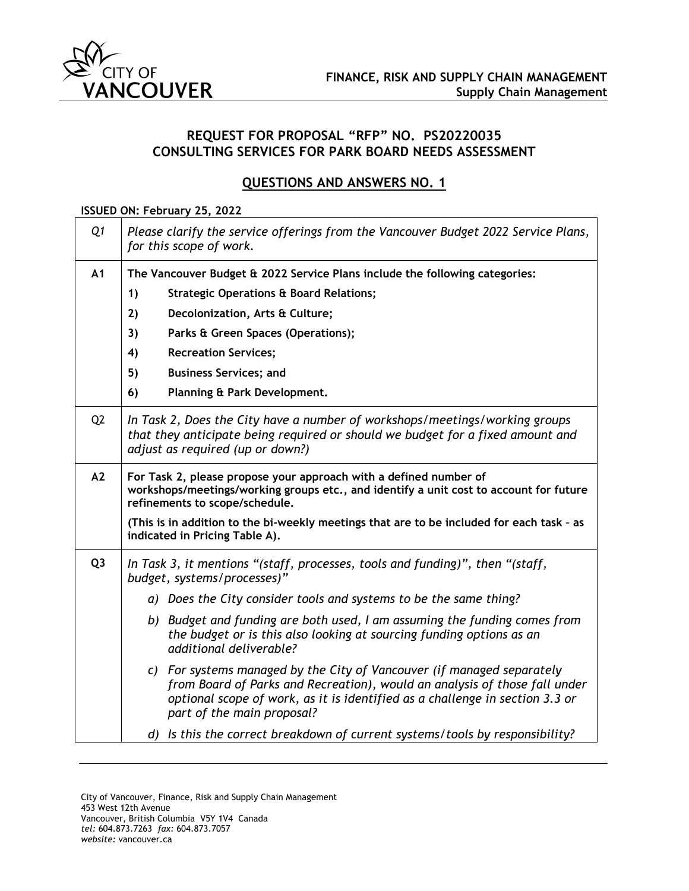

## **REQUEST FOR PROPOSAL "RFP" NO. PS20220035 CONSULTING SERVICES FOR PARK BOARD NEEDS ASSESSMENT**

## **QUESTIONS AND ANSWERS NO. 1**

## **ISSUED ON: February 25, 2022**

| Q1             | Please clarify the service offerings from the Vancouver Budget 2022 Service Plans,<br>for this scope of work.                                                                                                                                                      |
|----------------|--------------------------------------------------------------------------------------------------------------------------------------------------------------------------------------------------------------------------------------------------------------------|
| A <sub>1</sub> | The Vancouver Budget & 2022 Service Plans include the following categories:                                                                                                                                                                                        |
|                | <b>Strategic Operations &amp; Board Relations;</b><br>1)                                                                                                                                                                                                           |
|                | 2)<br>Decolonization, Arts & Culture;                                                                                                                                                                                                                              |
|                | Parks & Green Spaces (Operations);<br>3)                                                                                                                                                                                                                           |
|                | 4)<br><b>Recreation Services;</b>                                                                                                                                                                                                                                  |
|                | 5)<br><b>Business Services; and</b>                                                                                                                                                                                                                                |
|                | 6)<br>Planning & Park Development.                                                                                                                                                                                                                                 |
| Q <sub>2</sub> | In Task 2, Does the City have a number of workshops/meetings/working groups<br>that they anticipate being required or should we budget for a fixed amount and<br>adjust as required (up or down?)                                                                  |
| A2             | For Task 2, please propose your approach with a defined number of<br>workshops/meetings/working groups etc., and identify a unit cost to account for future<br>refinements to scope/schedule.                                                                      |
|                | (This is in addition to the bi-weekly meetings that are to be included for each task - as<br>indicated in Pricing Table A).                                                                                                                                        |
| Q <sub>3</sub> | In Task 3, it mentions "(staff, processes, tools and funding)", then "(staff,<br>budget, systems/processes)"                                                                                                                                                       |
|                | a) Does the City consider tools and systems to be the same thing?                                                                                                                                                                                                  |
|                | b) Budget and funding are both used, I am assuming the funding comes from<br>the budget or is this also looking at sourcing funding options as an<br>additional deliverable?                                                                                       |
|                | c) For systems managed by the City of Vancouver (if managed separately<br>from Board of Parks and Recreation), would an analysis of those fall under<br>optional scope of work, as it is identified as a challenge in section 3.3 or<br>part of the main proposal? |
|                | d) Is this the correct breakdown of current systems/tools by responsibility?                                                                                                                                                                                       |